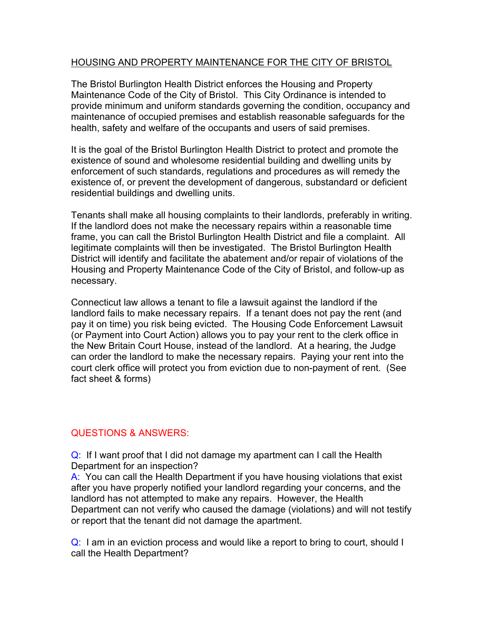#### HOUSING AND PROPERTY MAINTENANCE FOR THE CITY OF BRISTOL

The Bristol Burlington Health District enforces the Housing and Property Maintenance Code of the City of Bristol. This City Ordinance is intended to provide minimum and uniform standards governing the condition, occupancy and maintenance of occupied premises and establish reasonable safeguards for the health, safety and welfare of the occupants and users of said premises.

It is the goal of the Bristol Burlington Health District to protect and promote the existence of sound and wholesome residential building and dwelling units by enforcement of such standards, regulations and procedures as will remedy the existence of, or prevent the development of dangerous, substandard or deficient residential buildings and dwelling units.

Tenants shall make all housing complaints to their landlords, preferably in writing. If the landlord does not make the necessary repairs within a reasonable time frame, you can call the Bristol Burlington Health District and file a complaint. All legitimate complaints will then be investigated. The Bristol Burlington Health District will identify and facilitate the abatement and/or repair of violations of the Housing and Property Maintenance Code of the City of Bristol, and follow-up as necessary.

Connecticut law allows a tenant to file a lawsuit against the landlord if the landlord fails to make necessary repairs. If a tenant does not pay the rent (and pay it on time) you risk being evicted. The Housing Code Enforcement Lawsuit (or Payment into Court Action) allows you to pay your rent to the clerk office in the New Britain Court House, instead of the landlord. At a hearing, the Judge can order the landlord to make the necessary repairs. Paying your rent into the court clerk office will protect you from eviction due to non-payment of rent. (See fact sheet & forms)

#### QUESTIONS & ANSWERS:

Q: If I want proof that I did not damage my apartment can I call the Health Department for an inspection?

A: You can call the Health Department if you have housing violations that exist after you have properly notified your landlord regarding your concerns, and the landlord has not attempted to make any repairs. However, the Health Department can not verify who caused the damage (violations) and will not testify or report that the tenant did not damage the apartment.

Q: I am in an eviction process and would like a report to bring to court, should I call the Health Department?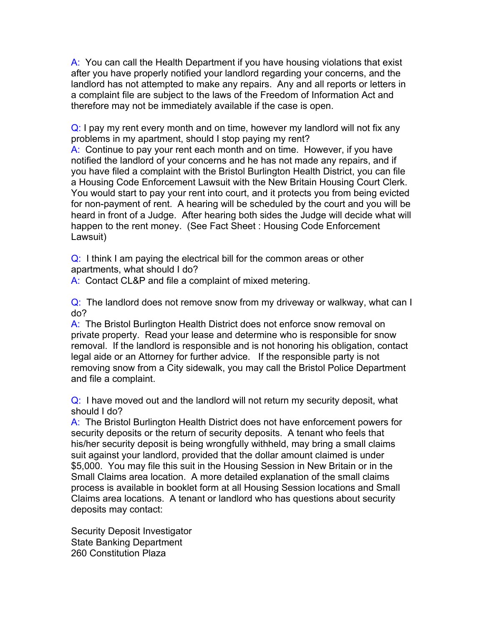A: You can call the Health Department if you have housing violations that exist after you have properly notified your landlord regarding your concerns, and the landlord has not attempted to make any repairs. Any and all reports or letters in a complaint file are subject to the laws of the Freedom of Information Act and therefore may not be immediately available if the case is open.

Q: I pay my rent every month and on time, however my landlord will not fix any problems in my apartment, should I stop paying my rent?

A: Continue to pay your rent each month and on time. However, if you have notified the landlord of your concerns and he has not made any repairs, and if you have filed a complaint with the Bristol Burlington Health District, you can file a Housing Code Enforcement Lawsuit with the New Britain Housing Court Clerk. You would start to pay your rent into court, and it protects you from being evicted for non-payment of rent. A hearing will be scheduled by the court and you will be heard in front of a Judge. After hearing both sides the Judge will decide what will happen to the rent money. (See Fact Sheet : Housing Code Enforcement Lawsuit)

Q: I think I am paying the electrical bill for the common areas or other apartments, what should I do?

A: Contact CL&P and file a complaint of mixed metering.

Q: The landlord does not remove snow from my driveway or walkway, what can I do?

A: The Bristol Burlington Health District does not enforce snow removal on private property. Read your lease and determine who is responsible for snow removal. If the landlord is responsible and is not honoring his obligation, contact legal aide or an Attorney for further advice. If the responsible party is not removing snow from a City sidewalk, you may call the Bristol Police Department and file a complaint.

Q: I have moved out and the landlord will not return my security deposit, what should I do?

A: The Bristol Burlington Health District does not have enforcement powers for security deposits or the return of security deposits. A tenant who feels that his/her security deposit is being wrongfully withheld, may bring a small claims suit against your landlord, provided that the dollar amount claimed is under \$5,000. You may file this suit in the Housing Session in New Britain or in the Small Claims area location. A more detailed explanation of the small claims process is available in booklet form at all Housing Session locations and Small Claims area locations. A tenant or landlord who has questions about security deposits may contact:

Security Deposit Investigator State Banking Department 260 Constitution Plaza